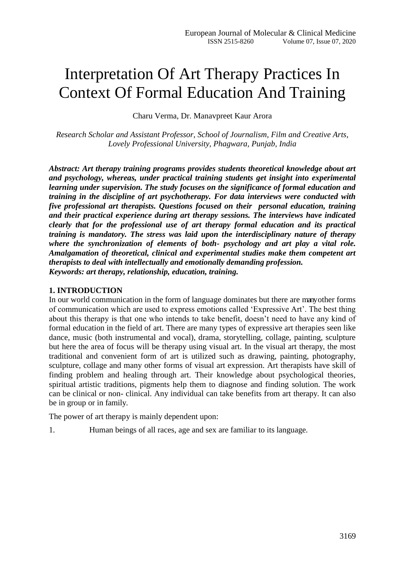# Interpretation Of Art Therapy Practices In Context Of Formal Education And Training

Charu Verma, Dr. Manavpreet Kaur Arora

*Research Scholar and Assistant Professor, School of Journalism, Film and Creative Arts, Lovely Professional University, Phagwara, Punjab, India*

*Abstract: Art therapy training programs provides students theoretical knowledge about art and psychology, whereas, under practical training students get insight into experimental learning under supervision. The study focuses on the significance of formal education and training in the discipline of art psychotherapy. For data interviews were conducted with five professional art therapists. Questions focused on their personal education, training and their practical experience during art therapy sessions. The interviews have indicated clearly that for the professional use of art therapy formal education and its practical training is mandatory. The stress was laid upon the interdisciplinary nature of therapy where the synchronization of elements of both- psychology and art play a vital role. Amalgamation of theoretical, clinical and experimental studies make them competent art therapists to deal with intellectually and emotionally demanding profession. Keywords: art therapy, relationship, education, training.*

## **1. INTRODUCTION**

In our world communication in the form of language dominates but there are many other forms of communication which are used to express emotions called "Expressive Art". The best thing about this therapy is that one who intends to take benefit, doesn"t need to have any kind of formal education in the field of art. There are many types of expressive art therapies seen like dance, music (both instrumental and vocal), drama, storytelling, collage, painting, sculpture but here the area of focus will be therapy using visual art. In the visual art therapy, the most traditional and convenient form of art is utilized such as drawing, painting, photography, sculpture, collage and many other forms of visual art expression. Art therapists have skill of finding problem and healing through art. Their knowledge about psychological theories, spiritual artistic traditions, pigments help them to diagnose and finding solution. The work can be clinical or non- clinical. Any individual can take benefits from art therapy. It can also be in group or in family.

The power of art therapy is mainly dependent upon:

1. Human beings of all races, age and sex are familiar to its language.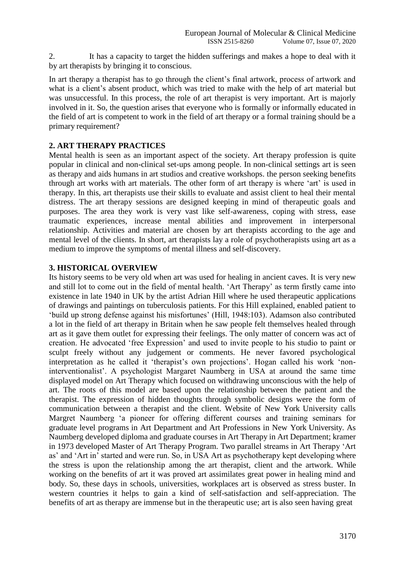2. It has a capacity to target the hidden sufferings and makes a hope to deal with it by art therapists by bringing it to conscious.

In art therapy a therapist has to go through the client"s final artwork, process of artwork and what is a client's absent product, which was tried to make with the help of art material but was unsuccessful. In this process, the role of art therapist is very important. Art is majorly involved in it. So, the question arises that everyone who is formally or informally educated in the field of art is competent to work in the field of art therapy or a formal training should be a primary requirement?

# **2. ART THERAPY PRACTICES**

Mental health is seen as an important aspect of the society. Art therapy profession is quite popular in clinical and non-clinical set-ups among people. In non-clinical settings art is seen as therapy and aids humans in art studios and creative workshops. the person seeking benefits through art works with art materials. The other form of art therapy is where "art" is used in therapy. In this, art therapists use their skills to evaluate and assist client to heal their mental distress. The art therapy sessions are designed keeping in mind of therapeutic goals and purposes. The area they work is very vast like self-awareness, coping with stress, ease traumatic experiences, increase mental abilities and improvement in interpersonal relationship. Activities and material are chosen by art therapists according to the age and mental level of the clients. In short, art therapists lay a role of psychotherapists using art as a medium to improve the symptoms of mental illness and self-discovery.

# **3. HISTORICAL OVERVIEW**

Its history seems to be very old when art was used for healing in ancient caves. It is very new and still lot to come out in the field of mental health. 'Art Therapy' as term firstly came into existence in late 1940 in UK by the artist Adrian Hill where he used therapeutic applications of drawings and paintings on tuberculosis patients. For this Hill explained, enabled patient to "build up strong defense against his misfortunes" (Hill, 1948:103). Adamson also contributed a lot in the field of art therapy in Britain when he saw people felt themselves healed through art as it gave them outlet for expressing their feelings. The only matter of concern was act of creation. He advocated "free Expression" and used to invite people to his studio to paint or sculpt freely without any judgement or comments. He never favored psychological interpretation as he called it 'therapist's own projections'. Hogan called his work 'noninterventionalist'. A psychologist Margaret Naumberg in USA at around the same time displayed model on Art Therapy which focused on withdrawing unconscious with the help of art. The roots of this model are based upon the relationship between the patient and the therapist. The expression of hidden thoughts through symbolic designs were the form of communication between a therapist and the client. Website of New York University calls Margret Naumberg "a pioneer for offering different courses and training seminars for graduate level programs in Art Department and Art Professions in New York University. As Naumberg developed diploma and graduate courses in Art Therapy in Art Department; kramer in 1973 developed Master of Art Therapy Program. Two parallel streams in Art Therapy "Art as' and 'Art in' started and were run. So, in USA Art as psychotherapy kept developing where the stress is upon the relationship among the art therapist, client and the artwork. While working on the benefits of art it was proved art assimilates great power in healing mind and body. So, these days in schools, universities, workplaces art is observed as stress buster. In western countries it helps to gain a kind of self-satisfaction and self-appreciation. The benefits of art as therapy are immense but in the therapeutic use; art is also seen having great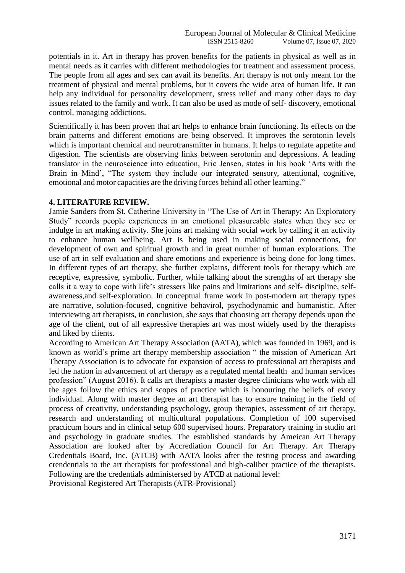potentials in it. Art in therapy has proven benefits for the patients in physical as well as in mental needs as it carries with different methodologies for treatment and assessment process. The people from all ages and sex can avail its benefits. Art therapy is not only meant for the treatment of physical and mental problems, but it covers the wide area of human life. It can help any individual for personality development, stress relief and many other days to day issues related to the family and work. It can also be used as mode of self- discovery, emotional control, managing addictions.

Scientifically it has been proven that art helps to enhance brain functioning. Its effects on the brain patterns and different emotions are being observed. It improves the serotonin levels which is important chemical and neurotransmitter in humans. It helps to regulate appetite and digestion. The scientists are observing links between serotonin and depressions. A leading translator in the neuroscience into education, Eric Jensen, states in his book "Arts with the Brain in Mind', "The system they include our integrated sensory, attentional, cognitive, emotional and motor capacities are the driving forces behind all other learning."

#### **4. LITERATURE REVIEW.**

Jamie Sanders from St. Catherine University in "The Use of Art in Therapy: An Exploratory Study" records people experiences in an emotional pleasureable states when they see or indulge in art making activity. She joins art making with social work by calling it an activity to enhance human wellbeing. Art is being used in making social connections, for development of own and spiritual growth and in great number of human explorations. The use of art in self evaluation and share emotions and experience is being done for long times. In different types of art therapy, she further explains, different tools for therapy which are receptive, expressive, symbolic. Further, while talking about the strengths of art therapy she calls it a way to cope with life"s stressers like pains and limitations and self- discipline, selfawareness,and self-exploration. In conceptual frame work in post-modern art therapy types are narrative, solution-focused, cognitive behavirol, psychodynamic and humanistic. After interviewing art therapists, in conclusion, she says that choosing art therapy depends upon the age of the client, out of all expressive therapies art was most widely used by the therapists and liked by clients.

According to American Art Therapy Association (AATA), which was founded in 1969, and is known as world"s prime art therapy membership association " the mission of American Art Therapy Association is to advocate for expansion of access to professional art therapists and led the nation in advancement of art therapy as a regulated mental health and human services profession" (August 2016). It calls art therapists a master degree clinicians who work with all the ages follow the ethics and scopes of practice which is honouring the beliefs of every individual. Along with master degree an art therapist has to ensure training in the field of process of creativity, understanding psychology, group therapies, assessment of art therapy, research and understanding of multicultural populations. Completion of 100 supervised practicum hours and in clinical setup 600 supervised hours. Preparatory training in studio art and psychology in graduate studies. The established standards by Ameican Art Therapy Association are looked after by Accrediation Council for Art Therapy. Art Therapy Credentials Board, Inc. (ATCB) with AATA looks after the testing process and awarding crendentials to the art therapists for professional and high-caliber practice of the therapists. Following are the credentials administersed by ATCB at national level:

Provisional Registered Art Therapists (ATR-Provisional)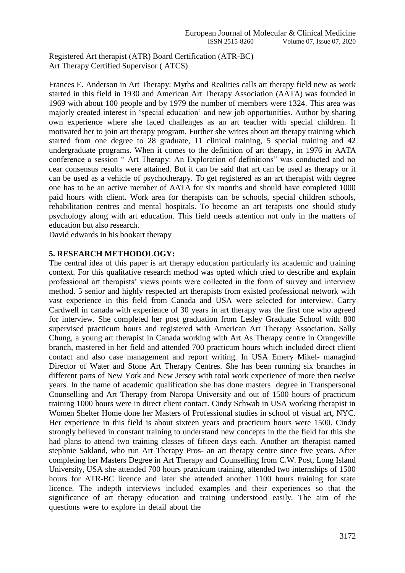Registered Art therapist (ATR) Board Certification (ATR-BC) Art Therapy Certified Supervisor ( ATCS)

Frances E. Anderson in Art Therapy: Myths and Realities calls art therapy field new as work started in this field in 1930 and American Art Therapy Association (AATA) was founded in 1969 with about 100 people and by 1979 the number of members were 1324. This area was majorly created interest in "special education" and new job opportunities. Author by sharing own experience where she faced challenges as an art teacher with special children. It motivated her to join art therapy program. Further she writes about art therapy training which started from one degree to 28 graduate, 11 clinical training, 5 special training and 42 undergraduate programs. When it comes to the definition of art therapy, in 1976 in AATA conference a session " Art Therapy: An Exploration of definitions" was conducted and no cear consensus results were attained. But it can be said that art can be used as therapy or it can be used as a vehicle of psychotherapy. To get registered as an art therapist with degree one has to be an active member of AATA for six months and should have completed 1000 paid hours with client. Work area for therapists can be schools, special children schools, rehabilitation centres and mental hospitals. To become an art terapists one should study psychology along with art education. This field needs attention not only in the matters of education but also research.

David edwards in his bookart therapy

## **5. RESEARCH METHODOLOGY:**

The central idea of this paper is art therapy education particularly its academic and training context. For this qualitative research method was opted which tried to describe and explain professional art therapists" views points were collected in the form of survey and interview method. 5 senior and highly respected art therapists from existed professional network with vast experience in this field from Canada and USA were selected for interview. Carry Cardwell in canada with experience of 30 years in art therapy was the first one who agreed for interview. She completed her post graduation from Lesley Graduate School with 800 supervised practicum hours and registered with American Art Therapy Association. Sally Chung, a young art therapist in Canada working with Art As Therapy centre in Orangeville branch, mastered in her field and attended 700 practicum hours which included direct client contact and also case management and report writing. In USA Emery Mikel- managind Director of Water and Stone Art Therapy Centres. She has been running six branches in different parts of New York and New Jersey with total work experience of more then twelve years. In the name of academic qualification she has done masters degree in Transpersonal Counselling and Art Therapy from Naropa University and out of 1500 hours of practicum training 1000 hours were in direct client contact. Cindy Schwab in USA working therapist in Women Shelter Home done her Masters of Professional studies in school of visual art, NYC. Her experience in this field is about sixteen years and practicum hours were 1500. Cindy strongly believed in constant training to understand new concepts in the the field for this she had plans to attend two training classes of fifteen days each. Another art therapist named stephnie Sakland, who run Art Therapy Pros- an art therapy centre since five years. After completing her Masters Degree in Art Therapy and Counselling from C.W. Post, Long Island University, USA she attended 700 hours practicum training, attended two internships of 1500 hours for ATR-BC licence and later she attended another 1100 hours training for state licence. The indepth interviews included examples and their experiences so that the significance of art therapy education and training understood easily. The aim of the questions were to explore in detail about the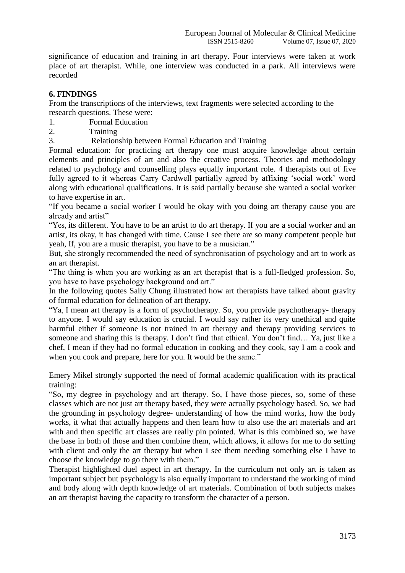significance of education and training in art therapy. Four interviews were taken at work place of art therapist. While, one interview was conducted in a park. All interviews were recorded

# **6. FINDINGS**

From the transcriptions of the interviews, text fragments were selected according to the research questions. These were:

1. Formal Education

2. Training

3. Relationship between Formal Education and Training

Formal education: for practicing art therapy one must acquire knowledge about certain elements and principles of art and also the creative process. Theories and methodology related to psychology and counselling plays equally important role. 4 therapists out of five fully agreed to it whereas Carry Cardwell partially agreed by affixing "social work" word along with educational qualifications. It is said partially because she wanted a social worker to have expertise in art.

"If you became a social worker I would be okay with you doing art therapy cause you are already and artist"

"Yes, its different. You have to be an artist to do art therapy. If you are a social worker and an artist, its okay, it has changed with time. Cause I see there are so many competent people but yeah, If, you are a music therapist, you have to be a musician."

But, she strongly recommended the need of synchronisation of psychology and art to work as an art therapist.

"The thing is when you are working as an art therapist that is a full-fledged profession. So, you have to have psychology background and art."

In the following quotes Sally Chung illustrated how art therapists have talked about gravity of formal education for delineation of art therapy.

"Ya, I mean art therapy is a form of psychotherapy. So, you provide psychotherapy- therapy to anyone. I would say education is crucial. I would say rather its very unethical and quite harmful either if someone is not trained in art therapy and therapy providing services to someone and sharing this is therapy. I don"t find that ethical. You don"t find… Ya, just like a chef, I mean if they had no formal education in cooking and they cook, say I am a cook and when you cook and prepare, here for you. It would be the same."

Emery Mikel strongly supported the need of formal academic qualification with its practical training:

"So, my degree in psychology and art therapy. So, I have those pieces, so, some of these classes which are not just art therapy based, they were actually psychology based. So, we had the grounding in psychology degree- understanding of how the mind works, how the body works, it what that actually happens and then learn how to also use the art materials and art with and then specific art classes are really pin pointed. What is this combined so, we have the base in both of those and then combine them, which allows, it allows for me to do setting with client and only the art therapy but when I see them needing something else I have to choose the knowledge to go there with them."

Therapist highlighted duel aspect in art therapy. In the curriculum not only art is taken as important subject but psychology is also equally important to understand the working of mind and body along with depth knowledge of art materials. Combination of both subjects makes an art therapist having the capacity to transform the character of a person.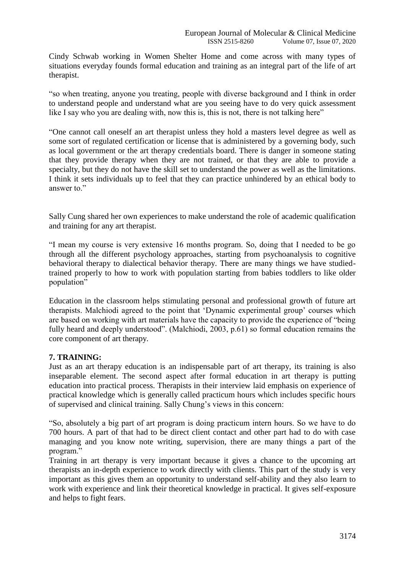Cindy Schwab working in Women Shelter Home and come across with many types of situations everyday founds formal education and training as an integral part of the life of art therapist.

"so when treating, anyone you treating, people with diverse background and I think in order to understand people and understand what are you seeing have to do very quick assessment like I say who you are dealing with, now this is, this is not, there is not talking here"

"One cannot call oneself an art therapist unless they hold a masters level degree as well as some sort of regulated certification or license that is administered by a governing body, such as local government or the art therapy credentials board. There is danger in someone stating that they provide therapy when they are not trained, or that they are able to provide a specialty, but they do not have the skill set to understand the power as well as the limitations. I think it sets individuals up to feel that they can practice unhindered by an ethical body to answer to."

Sally Cung shared her own experiences to make understand the role of academic qualification and training for any art therapist.

"I mean my course is very extensive 16 months program. So, doing that I needed to be go through all the different psychology approaches, starting from psychoanalysis to cognitive behavioral therapy to dialectical behavior therapy. There are many things we have studiedtrained properly to how to work with population starting from babies toddlers to like older population"

Education in the classroom helps stimulating personal and professional growth of future art therapists. Malchiodi agreed to the point that "Dynamic experimental group" courses which are based on working with art materials have the capacity to provide the experience of "being fully heard and deeply understood". (Malchiodi, 2003, p.61) so formal education remains the core component of art therapy.

## **7. TRAINING:**

Just as an art therapy education is an indispensable part of art therapy, its training is also inseparable element. The second aspect after formal education in art therapy is putting education into practical process. Therapists in their interview laid emphasis on experience of practical knowledge which is generally called practicum hours which includes specific hours of supervised and clinical training. Sally Chung"s views in this concern:

"So, absolutely a big part of art program is doing practicum intern hours. So we have to do 700 hours. A part of that had to be direct client contact and other part had to do with case managing and you know note writing, supervision, there are many things a part of the program."

Training in art therapy is very important because it gives a chance to the upcoming art therapists an in-depth experience to work directly with clients. This part of the study is very important as this gives them an opportunity to understand self-ability and they also learn to work with experience and link their theoretical knowledge in practical. It gives self-exposure and helps to fight fears.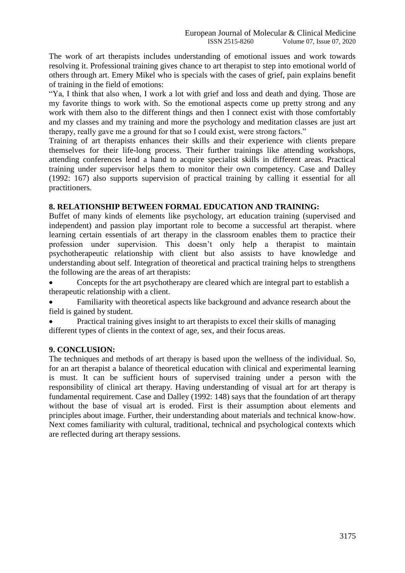The work of art therapists includes understanding of emotional issues and work towards resolving it. Professional training gives chance to art therapist to step into emotional world of others through art. Emery Mikel who is specials with the cases of grief, pain explains benefit of training in the field of emotions:

"Ya, I think that also when, I work a lot with grief and loss and death and dying. Those are my favorite things to work with. So the emotional aspects come up pretty strong and any work with them also to the different things and then I connect exist with those comfortably and my classes and my training and more the psychology and meditation classes are just art therapy, really gave me a ground for that so I could exist, were strong factors."

Training of art therapists enhances their skills and their experience with clients prepare themselves for their life-long process. Their further trainings like attending workshops, attending conferences lend a hand to acquire specialist skills in different areas. Practical training under supervisor helps them to monitor their own competency. Case and Dalley (1992: 167) also supports supervision of practical training by calling it essential for all practitioners.

# **8. RELATIONSHIP BETWEEN FORMAL EDUCATION AND TRAINING:**

Buffet of many kinds of elements like psychology, art education training (supervised and independent) and passion play important role to become a successful art therapist. where learning certain essentials of art therapy in the classroom enables them to practice their profession under supervision. This doesn"t only help a therapist to maintain psychotherapeutic relationship with client but also assists to have knowledge and understanding about self. Integration of theoretical and practical training helps to strengthens the following are the areas of art therapists:

 Concepts for the art psychotherapy are cleared which are integral part to establish a therapeutic relationship with a client.

 Familiarity with theoretical aspects like background and advance research about the field is gained by student.

 Practical training gives insight to art therapists to excel their skills of managing different types of clients in the context of age, sex, and their focus areas.

## **9. CONCLUSION:**

The techniques and methods of art therapy is based upon the wellness of the individual. So, for an art therapist a balance of theoretical education with clinical and experimental learning is must. It can be sufficient hours of supervised training under a person with the responsibility of clinical art therapy. Having understanding of visual art for art therapy is fundamental requirement. Case and Dalley (1992: 148) says that the foundation of art therapy without the base of visual art is eroded. First is their assumption about elements and principles about image. Further, their understanding about materials and technical know-how. Next comes familiarity with cultural, traditional, technical and psychological contexts which are reflected during art therapy sessions.